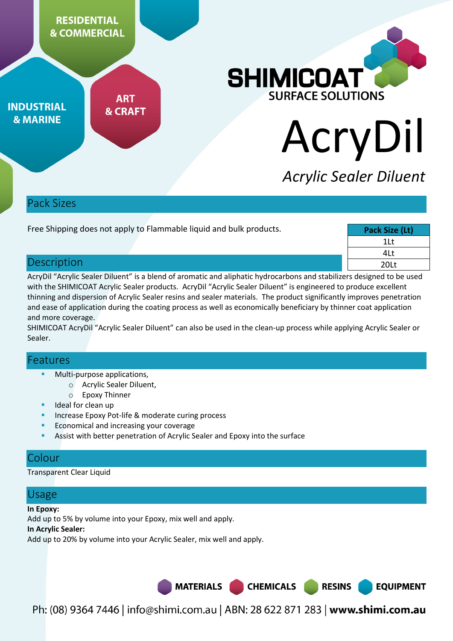

| Free Shipping does not apply to Flammable liquid and bulk products. |  | Pack Size (Lt) |
|---------------------------------------------------------------------|--|----------------|
|                                                                     |  | 1Lt            |
|                                                                     |  | 4Lt            |
| Description                                                         |  | 20Lt           |

AcryDil "Acrylic Sealer Diluent" is a blend of aromatic and aliphatic hydrocarbons and stabilizers designed to be used with the SHIMICOAT Acrylic Sealer products. AcryDil "Acrylic Sealer Diluent" is engineered to produce excellent thinning and dispersion of Acrylic Sealer resins and sealer materials. The product significantly improves penetration and ease of application during the coating process as well as economically beneficiary by thinner coat application and more coverage.

SHIMICOAT AcryDil "Acrylic Sealer Diluent" can also be used in the clean-up process while applying Acrylic Sealer or Sealer.

### Features

- Multi-purpose applications,
	- o Acrylic Sealer Diluent,
	- o Epoxy Thinner
- Ideal for clean up
- Increase Epoxy Pot-life & moderate curing process
- Economical and increasing your coverage
- Assist with better penetration of Acrylic Sealer and Epoxy into the surface

# Colour

Transparent Clear Liquid

### Usage

#### **In Epoxy:**

Add up to 5% by volume into your Epoxy, mix well and apply.

#### **In Acrylic Sealer:**

Add up to 20% by volume into your Acrylic Sealer, mix well and apply.

**MATERIALS CHEMICALS RESINS** 

**EQUIPMENT** 

Ph: (08) 9364 7446 | info@shimi.com.au | ABN: 28 622 871 283 | www.shimi.com.au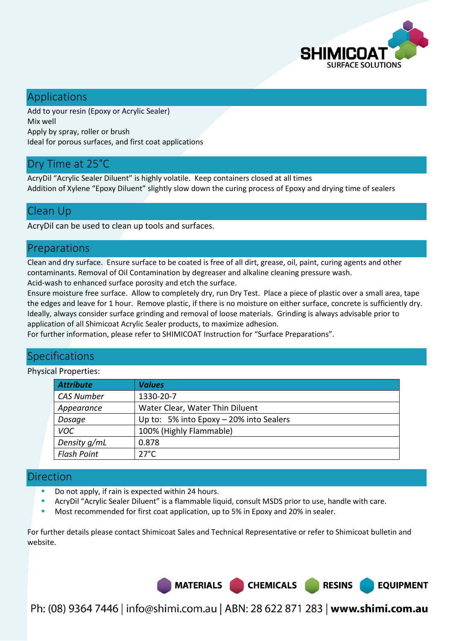

**EQUIPMENT** 

# Applications

Add to your resin (Epoxy or Acrylic Sealer) Mix well Apply by spray, roller or brush Ideal for porous surfaces, and first coat applications

# Dry Time at 25°C

AcryDil "Acrylic Sealer Diluent" is highly volatile. Keep containers closed at all times Addition of Xylene "Epoxy Diluent" slightly slow down the curing process of Epoxy and drying time of sealers

### Clean Up

AcryDil can be used to clean up tools and surfaces.

# Preparations

Clean and dry surface. Ensure surface to be coated is free of all dirt, grease, oil, paint, curing agents and other contaminants. Removal of Oil Contamination by degreaser and alkaline cleaning pressure wash.

Acid-wash to enhanced surface porosity and etch the surface.

Ensure moisture free surface. Allow to completely dry, run Dry Test. Place a piece of plastic over a small area, tape the edges and leave for 1 hour. Remove plastic, if there is no moisture on either surface, concrete is sufficiently dry. Ideally, always consider surface grinding and removal of loose materials. Grinding is always advisable prior to application of all Shimicoat Acrylic Sealer products, to maximize adhesion.

For further information, please refer to SHIMICOAT Instruction for "Surface Preparations".

# **Specifications**

Physical Properties:

| <b>Attribute</b>   | <b>Values</b>                           |
|--------------------|-----------------------------------------|
| <b>CAS Number</b>  | 1330-20-7                               |
| Appearance         | Water Clear, Water Thin Diluent         |
| Dosage             | Up to: 5% into Epoxy - 20% into Sealers |
| <b>VOC</b>         | 100% (Highly Flammable)                 |
| Density g/mL       | 0.878                                   |
| <b>Flash Point</b> | $27^{\circ}$ C                          |

### Direction

- Do not apply, if rain is expected within 24 hours.
- AcryDil "Acrylic Sealer Diluent" is a flammable liquid, consult MSDS prior to use, handle with care.
- Most recommended for first coat application, up to 5% in Epoxy and 20% in sealer.

For further details please contact Shimicoat Sales and Technical Representative or refer to Shimicoat bulletin and website.



Ph: (08) 9364 7446 | info@shimi.com.au | ABN: 28 622 871 283 | www.shimi.com.au